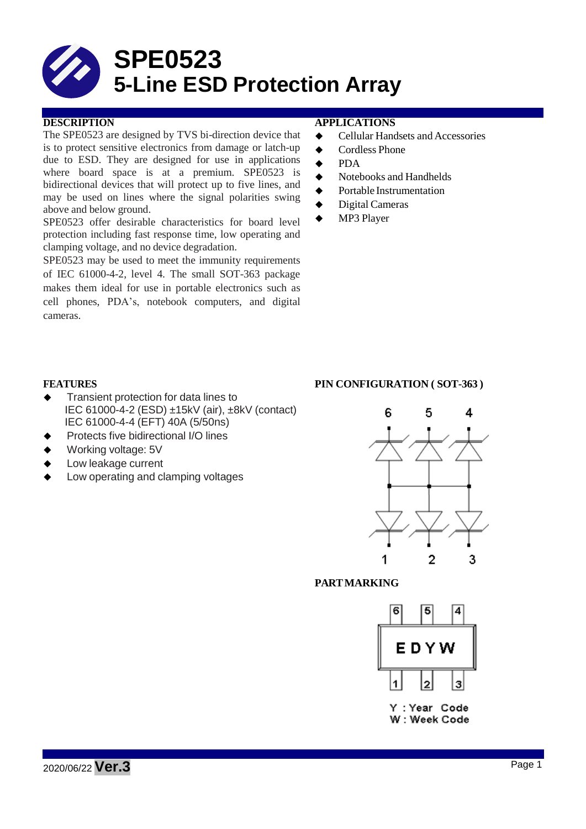

The SPE0523 are designed by TVS bi-direction device that is to protect sensitive electronics from damage or latch-up due to ESD. They are designed for use in applications where board space is at a premium. SPE0523 is bidirectional devices that will protect up to five lines, and may be used on lines where the signal polarities swing above and below ground.

SPE0523 offer desirable characteristics for board level protection including fast response time, low operating and clamping voltage, and no device degradation.

SPE0523 may be used to meet the immunity requirements of IEC 61000-4-2, level 4. The small SOT-363 package makes them ideal for use in portable electronics such as cell phones, PDA's, notebook computers, and digital cameras.

## **DESCRIPTION APPLICATIONS**

- ◆ Cellular Handsets and Accessories
- ◆ Cordless Phone
- **←** PDA
- $\blacklozenge$  Notebooks and Handhelds
- **◆** Portable Instrumentation
- ◆ Digital Cameras
- ◆ MP3 Player

- Transient protection for data lines to IEC 61000-4-2 (ESD) ±15kV (air), ±8kV (contact) IEC 61000-4-4 (EFT) 40A (5/50ns)
- Protects five bidirectional I/O lines
- Working voltage: 5V
- Low leakage current
- Low operating and clamping voltages

#### **FEATURES PIN CONFIGURATION ( SOT-363 )**



## **PARTMARKING**



Y: Year Code W: Week Code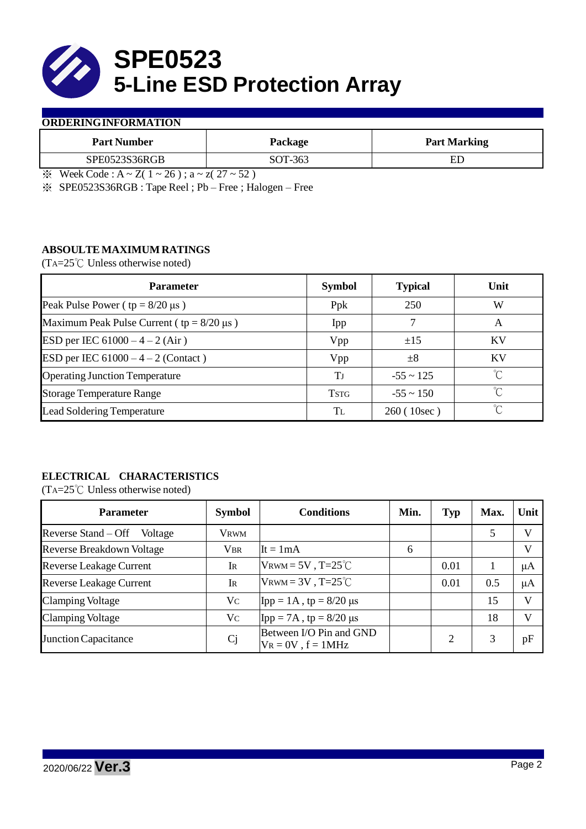

### **ORDERINGINFORMATION**

| <b>Part Number</b> | Package | <b>Part Marking</b> |
|--------------------|---------|---------------------|
| SPE0523S36RGB      | SOT-363 | ED                  |

※ Week Code : A ~ Z( 1 ~ 26 ) ; a ~ z( 27 ~ 52 )

※ SPE0523S36RGB : Tape Reel ; Pb – Free ; Halogen – Free

## **ABSOULTE MAXIMUM RATINGS**

(TA=25℃ Unless otherwise noted)

| <b>Parameter</b>                                 | <b>Symbol</b> | <b>Typical</b> | Unit      |
|--------------------------------------------------|---------------|----------------|-----------|
| Peak Pulse Power ( $tp = 8/20 \mu s$ )           | Ppk           | 250            | W         |
| Maximum Peak Pulse Current ( $tp = 8/20 \mu s$ ) | Ipp           |                | A         |
| ESD per IEC $61000 - 4 - 2$ (Air)                | Vpp           | ±15            | <b>KV</b> |
| ESD per IEC $61000 - 4 - 2$ (Contact)            | Vpp           | $\pm 8$        | <b>KV</b> |
| <b>Operating Junction Temperature</b>            | Tj            | $-55 \sim 125$ | ℃         |
| <b>Storage Temperature Range</b>                 | <b>TSTG</b>   | $-55 \sim 150$ | °C        |
| <b>Lead Soldering Temperature</b>                | TL            | 260(10sec)     | $\gamma$  |

# **ELECTRICAL CHARACTERISTICS**

(TA=25℃ Unless otherwise noted)

| <b>Parameter</b>                 | <b>Symbol</b> | <b>Conditions</b>                                  | Min. | <b>Typ</b> | Max. | Unit    |
|----------------------------------|---------------|----------------------------------------------------|------|------------|------|---------|
| Reverse Stand – Off<br>Voltage   | <b>VRWM</b>   |                                                    |      |            | 5    | V       |
| <b>Reverse Breakdown Voltage</b> | <b>VBR</b>    | $It = 1mA$                                         | 6    |            |      | V       |
| <b>Reverse Leakage Current</b>   | Ir            | $V_{\text{RWM}} = 5V$ , T=25 <sup>°</sup> C        |      | 0.01       |      | $\mu A$ |
| <b>Reverse Leakage Current</b>   | Ir            | VRWM = $3V$ , T= $25^{\circ}$ C                    |      | 0.01       | 0.5  | $\mu A$ |
| <b>Clamping Voltage</b>          | Vc            | $\text{Ipp} = 1 \text{A}$ , tp = 8/20 µs           |      |            | 15   | V       |
| <b>Clamping Voltage</b>          | $V_{C}$       | $\text{Ipp} = 7\text{A}$ , tp = 8/20 µs            |      |            | 18   | V       |
| Junction Capacitance             | Cj            | Between I/O Pin and GND<br>$V_R = 0V$ , $f = 1MHz$ |      | 2          | 3    | pF      |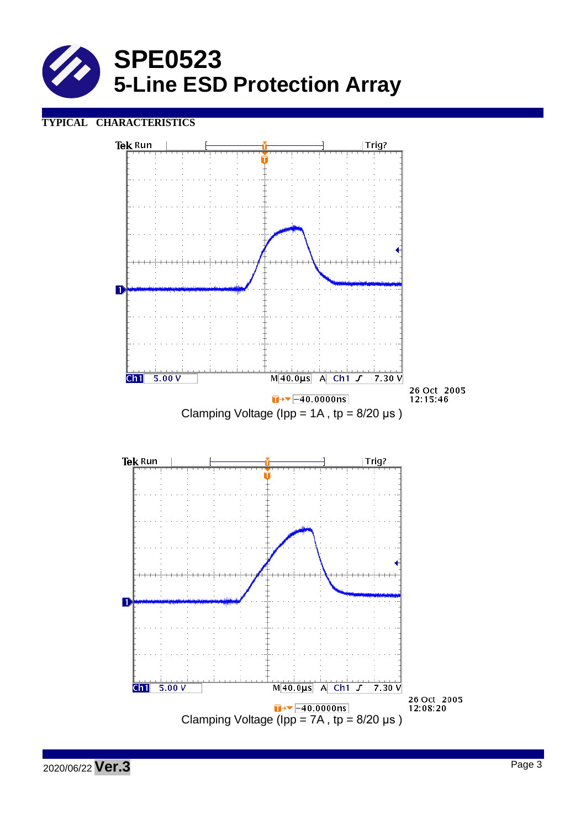

## **TYPICAL CHARACTERISTICS**



2020/06/22 **Ver.3** Page <sup>3</sup>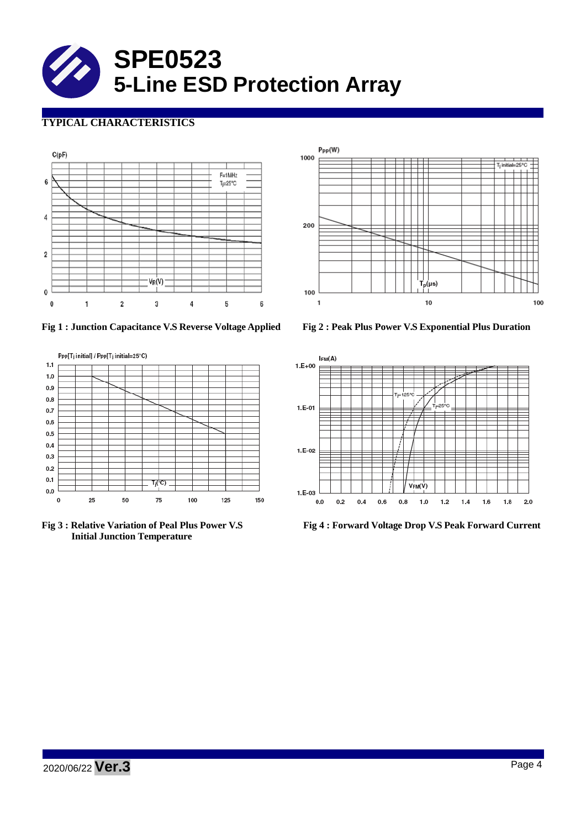

# **TYPICAL CHARACTERISTICS**



**Fig 1 : Junction Capacitance V.S Reverse Voltage Applied Fig 2 : Peak Plus Power V.S Exponential Plus Duration**



**Initial Junction Temperature**





**Fig 3 : Relative Variation of Peal Plus Power V.S Fig 4 : Forward Voltage Drop V.S Peak Forward Current**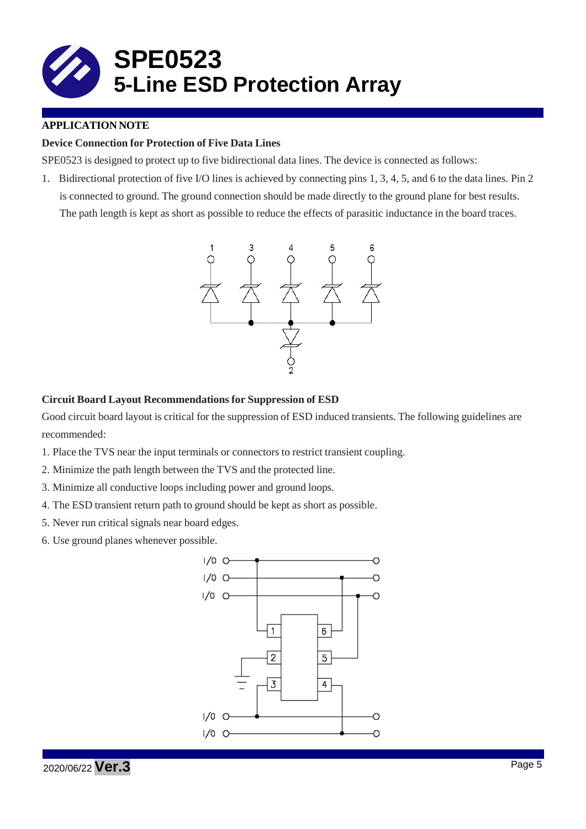

## **APPLICATION NOTE**

## **Device Connection for Protection of Five Data Lines**

SPE0523 is designed to protect up to five bidirectional data lines. The device is connected as follows:

1. Bidirectional protection of five I/O lines is achieved by connecting pins 1, 3, 4, 5, and 6 to the data lines. Pin 2 is connected to ground. The ground connection should be made directly to the ground plane for best results. The path length is kept as short as possible to reduce the effects of parasitic inductance in the board traces.



### **Circuit Board Layout Recommendations for Suppression of ESD**

Good circuit board layout is critical for the suppression of ESD induced transients. The following guidelines are recommended:

- 1. Place the TVS near the input terminals or connectors to restrict transient coupling.
- 2. Minimize the path length between the TVS and the protected line.
- 3. Minimize all conductive loops including power and ground loops.
- 4. The ESD transient return path to ground should be kept as short as possible.
- 5. Never run critical signals near board edges.
- 6. Use ground planes whenever possible.